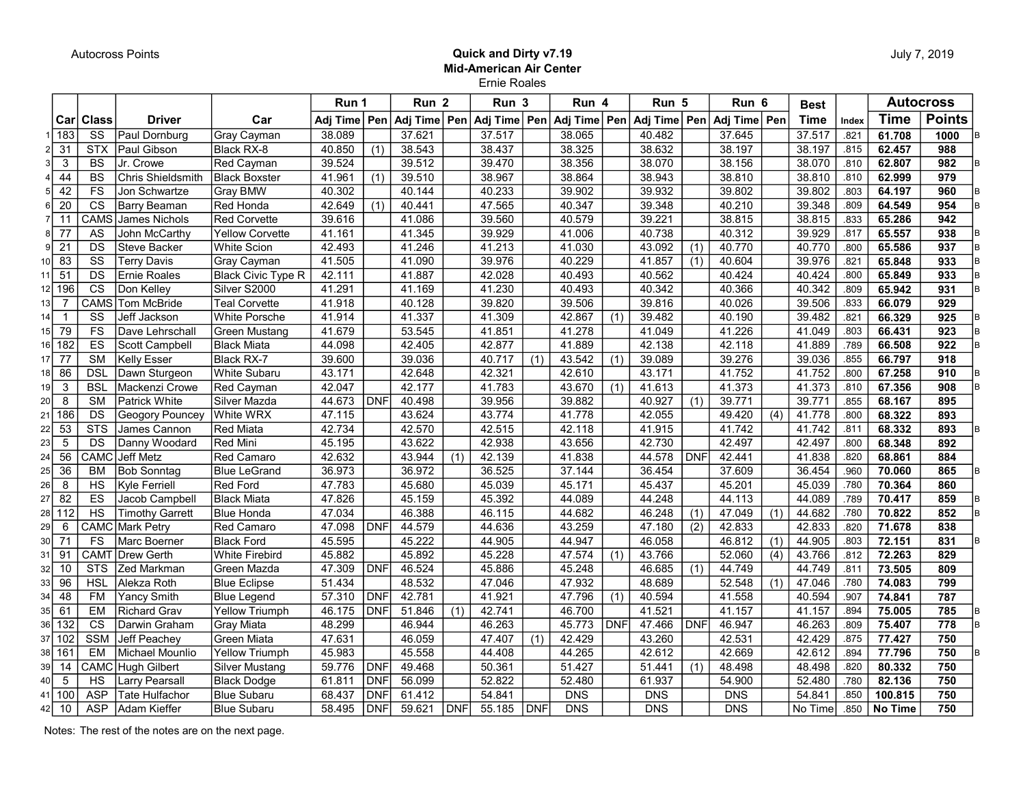## Autocross Points **Contract and Autocross Points** Contract and Dirty v7.19 Mid-American Air Center Ernie Roales

|      |                 |                         |                        |                           | Run 1          |            | Run <sub>2</sub> |     | Run 3          |                  | Run 4  |     | Run 5                           |                  | Run 6            |                  | <b>Best</b> |       |             | <b>Autocross</b> |  |
|------|-----------------|-------------------------|------------------------|---------------------------|----------------|------------|------------------|-----|----------------|------------------|--------|-----|---------------------------------|------------------|------------------|------------------|-------------|-------|-------------|------------------|--|
|      | Car             | <b>Class</b>            | <b>Driver</b>          | Car                       | Adj Time   Pen |            | Adj Time Pen     |     | Adj Time   Pen |                  |        |     | Adj Time   Pen   Adj Time   Pen |                  | Adj Time Pen     |                  | <b>Time</b> | Index | <b>Time</b> | <b>Points</b>    |  |
|      | 183             | SS                      | Paul Dornburg          | <b>Gray Cayman</b>        | 38.089         |            | 37.621           |     | 37.517         |                  | 38.065 |     | 40.482                          |                  | 37.645           |                  | 37.517      | .821  | 61.708      | 1000             |  |
|      | 31              | <b>STX</b>              | Paul Gibson            | Black RX-8                | 40.850         | (1)        | 38.543           |     | 38.437         |                  | 38.325 |     | 38.632                          |                  | 38.197           |                  | 38.197      | .815  | 62.457      | 988              |  |
|      | 3               | <b>BS</b>               | Jr. Crowe              | Red Cayman                | 39.524         |            | 39.512           |     | 39.470         |                  | 38.356 |     | 38.070                          |                  | 38.156           |                  | 38.070      | .810  | 62.807      | 982              |  |
|      | 44              | <b>BS</b>               | Chris Shieldsmith      | <b>Black Boxster</b>      | 41.961         | (1)        | 39.510           |     | 38.967         |                  | 38.864 |     | 38.943                          |                  | 38.810           |                  | 38.810      | .810  | 62.999      | 979              |  |
| 51   | 42              | FS                      | Jon Schwartze          | <b>Gray BMW</b>           | 40.302         |            | 40.144           |     | 40.233         |                  | 39.902 |     | 39.932                          |                  | 39.802           |                  | 39.802      | .803  | 64.197      | 960              |  |
| 6    | $\overline{20}$ | $\overline{\text{cs}}$  | Barry Beaman           | Red Honda                 | 42.649         | (1)        | 40.441           |     | 47.565         |                  | 40.347 |     | 39.348                          |                  | 40.210           |                  | 39.348      | .809  | 64.549      | 954              |  |
| 71   | 11              | CAMS                    | James Nichols          | <b>Red Corvette</b>       | 39.616         |            | 41.086           |     | 39.560         |                  | 40.579 |     | 39.221                          |                  | 38.815           |                  | 38.815      | .833  | 65.286      | 942              |  |
| 8I   | $\overline{77}$ | AS                      | John McCarthy          | <b>Yellow Corvette</b>    | 41.161         |            | 41.345           |     | 39.929         |                  | 41.006 |     | 40.738                          |                  | 40.312           |                  | 39.929      | .817  | 65.557      | 938              |  |
| 9    | 21              | DS                      | Steve Backer           | <b>White Scion</b>        | 42.493         |            | 41.246           |     | 41.213         |                  | 41.030 |     | 43.092                          | (1)              | 40.770           |                  | 40.770      | .800  | 65.586      | 937              |  |
|      | 83              | $\overline{\text{ss}}$  | <b>Terry Davis</b>     | Gray Cayman               | 41.505         |            | 41.090           |     | 39.976         |                  | 40.229 |     | 41.857                          | (1)              | 40.604           |                  | 39.976      | .821  | 65.848      | 933              |  |
|      | $\overline{51}$ | DS                      | Ernie Roales           | <b>Black Civic Type R</b> | 42.111         |            | 41.887           |     | 42.028         |                  | 40.493 |     | 40.562                          |                  | 40.424           |                  | 40.424      | .800  | 65.849      | 933              |  |
|      | 196             | $\overline{\text{cs}}$  | Don Kelley             | Silver S2000              | 41.291         |            | 41.169           |     | 41.230         |                  | 40.493 |     | 40.342                          |                  | 40.366           |                  | 40.342      | .809  | 65.942      | 931              |  |
|      | $\overline{7}$  | <b>CAMS</b>             | Tom McBride            | <b>Teal Corvette</b>      | 41.918         |            | 40.128           |     | 39.820         |                  | 39.506 |     | 39.816                          |                  | 40.026           |                  | 39.506      | .833  | 66.079      | 929              |  |
|      | $\overline{1}$  | SS                      | Jeff Jackson           | <b>White Porsche</b>      | 41.914         |            | 41.337           |     | 41.309         |                  | 42.867 | (1) | 39.482                          |                  | 40.190           |                  | 39.482      | .821  | 66.329      | 925              |  |
| 15 I | 79              | $\overline{FS}$         | Dave Lehrschall        | <b>Green Mustang</b>      | 41.679         |            | 53.545           |     | 41.851         |                  | 41.278 |     | 41.049                          |                  | 41.226           |                  | 41.049      | .803  | 66.431      | 923              |  |
| 16 I | 182             | ES                      | Scott Campbell         | <b>Black Miata</b>        | 44.098         |            | 42.405           |     | 42.877         |                  | 41.889 |     | 42.138                          |                  | 42.118           |                  | 41.889      | .789  | 66.508      | 922              |  |
|      | $\overline{77}$ | <b>SM</b>               | <b>Kelly Esser</b>     | Black RX-7                | 39.600         |            | 39.036           |     | 40.717         | $\overline{(1)}$ | 43.542 | (1) | 39.089                          |                  | 39.276           |                  | 39.036      | .855  | 66.797      | $\overline{918}$ |  |
|      | 86              | <b>DSL</b>              | Dawn Sturgeon          | <b>White Subaru</b>       | 43.171         |            | 42.648           |     | 42.321         |                  | 42.610 |     | 43.171                          |                  | 41.752           |                  | 41.752      | .800  | 67.258      | 910              |  |
|      | 3               | <b>BSL</b>              | Mackenzi Crowel        | <b>Red Cayman</b>         | 42.047         |            | 42.177           |     | 41.783         |                  | 43.670 | (1) | 41.613                          |                  | 41.373           |                  | 41.373      | .810  | 67.356      | 908              |  |
| 20   | 8               | <b>SM</b>               | Patrick White          | Silver Mazda              | 44.673         | <b>DNF</b> | 40.498           |     | 39.956         |                  | 39.882 |     | 40.927                          | (1)              | 39.771           |                  | 39.771      | .855  | 68.167      | 895              |  |
| 2    | 186             | DS                      | Geogory Pouncey        | White WRX                 | 47.115         |            | 43.624           |     | 43.774         |                  | 41.778 |     | 42.055                          |                  | 49.420           | (4)              | 41.778      | .800  | 68.322      | 893              |  |
| 22   | $\overline{53}$ | $\overline{\text{STS}}$ | James Cannon           | <b>Red Miata</b>          | 42.734         |            | 42.570           |     | 42.515         |                  | 42.118 |     | 41.915                          |                  | 41.742           |                  | 41.742      | .811  | 68.332      | 893              |  |
| 23   | 5               | DS                      | Danny Woodard          | <b>Red Mini</b>           | 45.195         |            | 43.622           |     | 42.938         |                  | 43.656 |     | 42.730                          |                  | 42.497           |                  | 42.497      | .800  | 68.348      | 892              |  |
| 24   | 56              | CAMC                    | Jeff Metz              | Red Camaro                | 42.632         |            | 43.944           | (1) | 42.139         |                  | 41.838 |     | 44.578                          | <b>DNF</b>       | 42.441           |                  | 41.838      | .820  | 68.861      | 884              |  |
| 25   | $\overline{36}$ | <b>BM</b>               | <b>Bob Sonntag</b>     | <b>Blue LeGrand</b>       | 36.973         |            | 36.972           |     | 36.525         |                  | 37.144 |     | 36.454                          |                  | 37.609           |                  | 36.454      | .960  | 70.060      | 865              |  |
| 26   | 8               | HS                      | Kyle Ferriell          | <b>Red Ford</b>           | 47.783         |            | 45.680           |     | 45.039         |                  | 45.171 |     | 45.437                          |                  | 45.201           |                  | 45.039      | .780  | 70.364      | 860              |  |
| 27   | 82              | ES                      | Jacob Campbell         | <b>Black Miata</b>        | 47.826         |            | 45.159           |     | 45.392         |                  | 44.089 |     | 44.248                          |                  | 44.113           |                  | 44.089      | .789  | 70.417      | 859              |  |
| 2٤   | 112             | HS                      | <b>Timothy Garrett</b> | <b>Blue Honda</b>         | 47.034         |            | 46.388           |     | 46.115         |                  | 44.682 |     | 46.248                          | (1)              | 47.049           | (1)              | 44.682      | .780  | 70.822      | 852              |  |
| 29   | 6               |                         | <b>CAMC</b> Mark Petry | Red Camaro                | 47.098         | <b>DNF</b> | 44.579           |     | 44.636         |                  | 43.259 |     | 47.180                          | (2)              | 42.833           |                  | 42.833      | .820  | 71.678      | 838              |  |
| 30   | 71              | <b>FS</b>               | Marc Boerner           | <b>Black Ford</b>         | 45.595         |            | 45.222           |     | 44.905         |                  | 44.947 |     | 46.058                          |                  | 46.812           | (1)              | 44.905      | .803  | 72.151      | 831              |  |
| 3    | 91              |                         | CAMT Drew Gerth        | <b>White Firebird</b>     | 45.882         |            | 45.892           |     | 45.228         |                  | 47.574 | (1) | 43.766                          |                  | 52.060           | $\overline{(4)}$ | 43.766      | .812  | 72.263      | 829              |  |
| 32   | 10              | <b>STS</b>              | Zed Markman            | Green Mazda               | 47.309         | <b>DNF</b> | 46.524           |     | 45.886         |                  | 45.248 |     | 46.685                          | $\overline{(1)}$ | 44.749           |                  | 44.749      | .811  | 73.505      | 809              |  |
|      | 96              | <b>HSL</b>              | Alekza Roth            | <b>Blue Eclipse</b>       | 51.434         |            | 48.532           |     | 47.046         |                  | 47.932 |     | 48.689                          |                  | 52.548           | (1)              | 47.046      | .780  | 74.083      | 799              |  |
|      | 48              | <b>FM</b>               | <b>Yancy Smith</b>     | <b>Blue Legend</b>        | 57.310         | <b>DNF</b> | 42.781           |     | 41.921         |                  | 47.796 | (1) | 40.594                          |                  | 41.558           |                  | 40.594      | .907  | 74.841      | 787              |  |
| 35   | 61              | <b>EM</b>               | Richard Grav           | <b>Yellow Triumph</b>     | 46.175         | <b>DNF</b> | 51.846           | (1) | 42.741         |                  | 46.700 |     | 41.521                          |                  | 41.157           |                  | 41.157      | .894  | 75.005      | 785              |  |
|      | 132             | <b>CS</b>               | Darwin Graham          | <b>Gray Miata</b>         | 48.299         |            | 46.944           |     | 46.263         |                  | 45.773 | DNF | 47.466                          | <b>DNF</b>       | 46.947           |                  | 46.263      | .809  | 75.407      | 778              |  |
|      | 102             | <b>SSM</b>              | Jeff Peachey           | Green Miata               | 47.631         |            | 46.059           |     | 47.407         | $\overline{(1)}$ | 42.429 |     | 43.260                          |                  | 42.531           |                  | 42.429      | .875  | 77.427      | 750              |  |
| 38   | 161             | <b>EM</b>               | Michael Mounlio        | <b>Yellow Triumph</b>     | 45.983         |            | 45.558           |     | 44.408         |                  | 44.265 |     | 42.612                          |                  | 42.669           |                  | 42.612      | .894  | 77.796      | 750              |  |
| 39   | 14              |                         | CAMC Hugh Gilbert      | <b>Silver Mustang</b>     | 59.776         | <b>DNF</b> | 49.468           |     | 50.361         |                  | 51.427 |     | 51.441                          | (1)              | 48.498           |                  | 48.498      | .820  | 80.332      | 750              |  |
|      | 5               | $\overline{HS}$         | Larry Pearsall         | <b>Black Dodge</b>        | 61.811         | DNF        | 56.099           |     | 52.822         |                  | 52.480 |     | 61.937                          |                  | 54.900           |                  | 52.480      | .780  | 82.136      | 750              |  |
|      | 100             | <b>ASP</b>              | Tate Hulfachor         | <b>Blue Subaru</b>        | 68.437         | DNF        | 61.412           |     | 54.841         |                  | DNS    |     | <b>DNS</b>                      |                  | $\overline{DNS}$ |                  | 54.841      | .850  | 100.815     | 750              |  |
| 42   | 10              | <b>ASP</b>              | Adam Kieffer           | <b>Blue Subaru</b>        | 58.495         | <b>DNF</b> | 59.621           | DNF | 55.185         | <b>DNF</b>       | DNS    |     | <b>DNS</b>                      |                  | DNS              |                  | No Time     | .850  | No Time     | 750              |  |

Notes: The rest of the notes are on the next page.